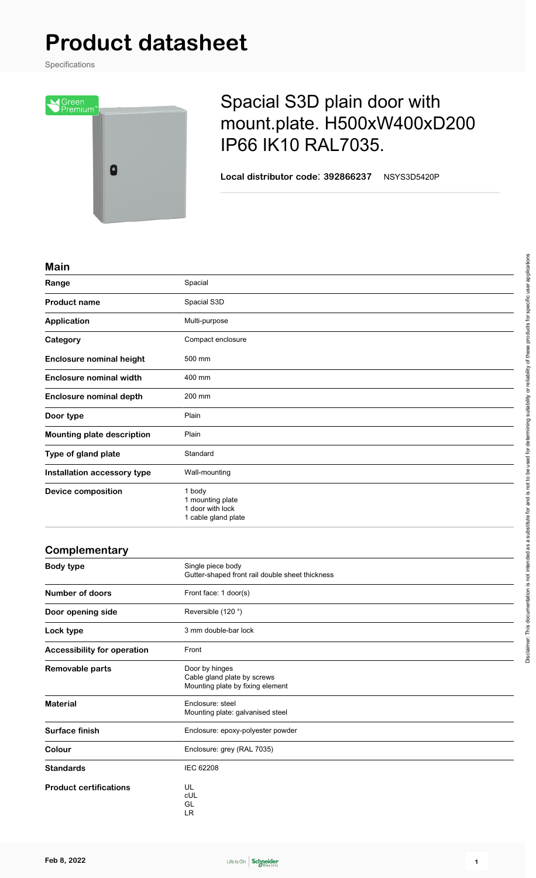## **Product datasheet**

Specifications



## Spacial S3D plain door with mount.plate. H500xW400xD200 IP66 IK10 RAL7035.

**Local distributor code**: **392866237** NSYS3D5420P

## **Main**

| Range                             | Spacial                                                               |
|-----------------------------------|-----------------------------------------------------------------------|
| <b>Product name</b>               | Spacial S3D                                                           |
| <b>Application</b>                | Multi-purpose                                                         |
| Category                          | Compact enclosure                                                     |
| <b>Enclosure nominal height</b>   | 500 mm                                                                |
| <b>Enclosure nominal width</b>    | 400 mm                                                                |
| <b>Enclosure nominal depth</b>    | 200 mm                                                                |
| Door type                         | Plain                                                                 |
| <b>Mounting plate description</b> | Plain                                                                 |
| Type of gland plate               | Standard                                                              |
| Installation accessory type       | Wall-mounting                                                         |
| <b>Device composition</b>         | 1 body<br>1 mounting plate<br>1 door with lock<br>1 cable gland plate |

| Complementary                      |                                                                                   |
|------------------------------------|-----------------------------------------------------------------------------------|
| <b>Body type</b>                   | Single piece body<br>Gutter-shaped front rail double sheet thickness              |
| <b>Number of doors</b>             | Front face: 1 door(s)                                                             |
| Door opening side                  | Reversible (120°)                                                                 |
| Lock type                          | 3 mm double-bar lock                                                              |
| <b>Accessibility for operation</b> | Front                                                                             |
| Removable parts                    | Door by hinges<br>Cable gland plate by screws<br>Mounting plate by fixing element |
| <b>Material</b>                    | Enclosure: steel<br>Mounting plate: galvanised steel                              |
| Surface finish                     | Enclosure: epoxy-polyester powder                                                 |
| Colour                             | Enclosure: grey (RAL 7035)                                                        |
| <b>Standards</b>                   | <b>IEC 62208</b>                                                                  |
| <b>Product certifications</b>      | UL<br>cUL<br>GL                                                                   |

LR